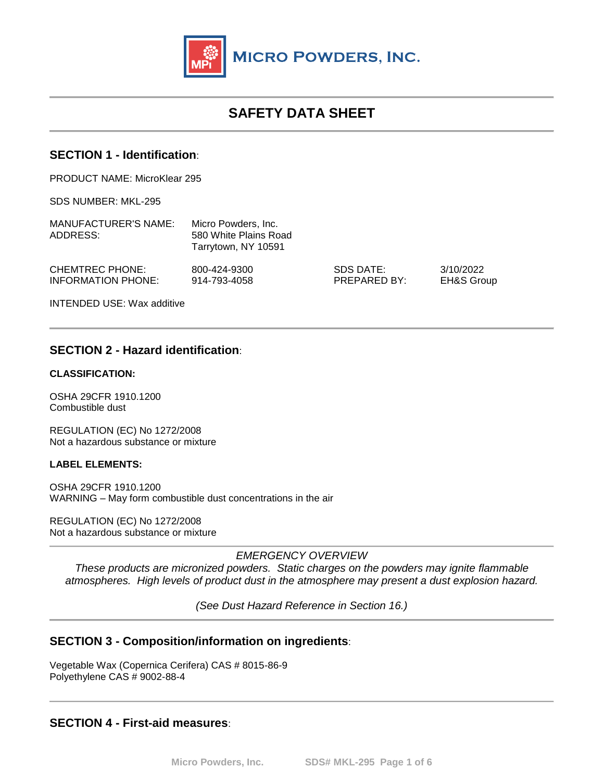

# **SAFETY DATA SHEET**

### **SECTION 1 - Identification**:

PRODUCT NAME: MicroKlear 295

SDS NUMBER: MKL-295

| MANUFACTURER'S NAME:<br>ADDRESS:             | Micro Powders, Inc.<br>580 White Plains Road<br>Tarrytown, NY 10591 |                           |                                    |
|----------------------------------------------|---------------------------------------------------------------------|---------------------------|------------------------------------|
| <b>CHEMTREC PHONE:</b><br>INFORMATION PHONE: | 800-424-9300<br>914-793-4058                                        | SDS DATE:<br>PREPARED BY: | 3/10/2022<br><b>EH&amp;S Group</b> |
| <b>INTENDED USE: Wax additive</b>            |                                                                     |                           |                                    |

### **SECTION 2 - Hazard identification**:

#### **CLASSIFICATION:**

OSHA 29CFR 1910.1200 Combustible dust

REGULATION (EC) No 1272/2008 Not a hazardous substance or mixture

#### **LABEL ELEMENTS:**

OSHA 29CFR 1910.1200 WARNING – May form combustible dust concentrations in the air

REGULATION (EC) No 1272/2008 Not a hazardous substance or mixture

*EMERGENCY OVERVIEW*

*These products are micronized powders. Static charges on the powders may ignite flammable atmospheres. High levels of product dust in the atmosphere may present a dust explosion hazard.*

*(See Dust Hazard Reference in Section 16.)* 

### **SECTION 3 - Composition/information on ingredients**:

Vegetable Wax (Copernica Cerifera) CAS # 8015-86-9 Polyethylene CAS # 9002-88-4

**SECTION 4 - First-aid measures**: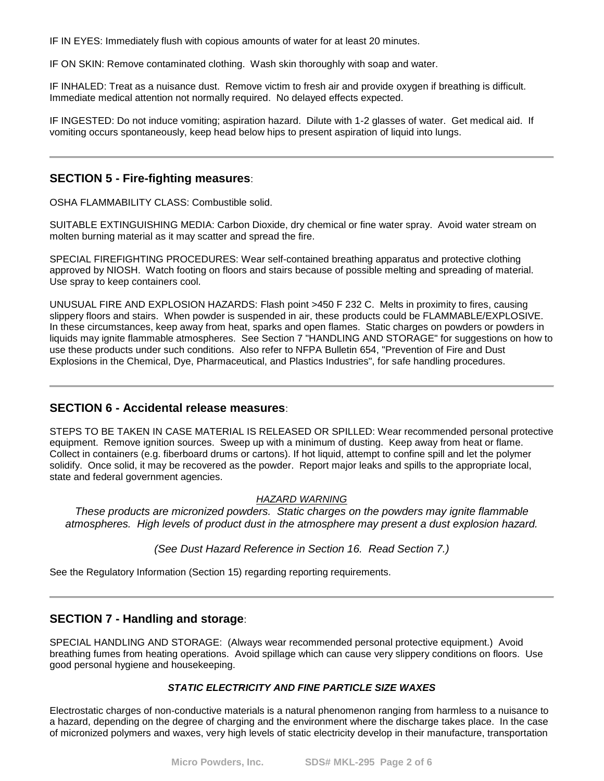IF IN EYES: Immediately flush with copious amounts of water for at least 20 minutes.

IF ON SKIN: Remove contaminated clothing. Wash skin thoroughly with soap and water.

IF INHALED: Treat as a nuisance dust. Remove victim to fresh air and provide oxygen if breathing is difficult. Immediate medical attention not normally required. No delayed effects expected.

IF INGESTED: Do not induce vomiting; aspiration hazard. Dilute with 1-2 glasses of water. Get medical aid. If vomiting occurs spontaneously, keep head below hips to present aspiration of liquid into lungs.

### **SECTION 5 - Fire-fighting measures**:

OSHA FLAMMABILITY CLASS: Combustible solid.

SUITABLE EXTINGUISHING MEDIA: Carbon Dioxide, dry chemical or fine water spray. Avoid water stream on molten burning material as it may scatter and spread the fire.

SPECIAL FIREFIGHTING PROCEDURES: Wear self-contained breathing apparatus and protective clothing approved by NIOSH. Watch footing on floors and stairs because of possible melting and spreading of material. Use spray to keep containers cool.

UNUSUAL FIRE AND EXPLOSION HAZARDS: Flash point >450 F 232 C. Melts in proximity to fires, causing slippery floors and stairs. When powder is suspended in air, these products could be FLAMMABLE/EXPLOSIVE. In these circumstances, keep away from heat, sparks and open flames. Static charges on powders or powders in liquids may ignite flammable atmospheres. See Section 7 "HANDLING AND STORAGE" for suggestions on how to use these products under such conditions. Also refer to NFPA Bulletin 654, "Prevention of Fire and Dust Explosions in the Chemical, Dye, Pharmaceutical, and Plastics Industries", for safe handling procedures.

#### **SECTION 6 - Accidental release measures**:

STEPS TO BE TAKEN IN CASE MATERIAL IS RELEASED OR SPILLED: Wear recommended personal protective equipment. Remove ignition sources. Sweep up with a minimum of dusting. Keep away from heat or flame. Collect in containers (e.g. fiberboard drums or cartons). If hot liquid, attempt to confine spill and let the polymer solidify. Once solid, it may be recovered as the powder. Report major leaks and spills to the appropriate local, state and federal government agencies.

#### *HAZARD WARNING*

*These products are micronized powders. Static charges on the powders may ignite flammable atmospheres. High levels of product dust in the atmosphere may present a dust explosion hazard.*

*(See Dust Hazard Reference in Section 16. Read Section 7.)*

See the Regulatory Information (Section 15) regarding reporting requirements.

# **SECTION 7 - Handling and storage**:

SPECIAL HANDLING AND STORAGE: (Always wear recommended personal protective equipment.) Avoid breathing fumes from heating operations. Avoid spillage which can cause very slippery conditions on floors. Use good personal hygiene and housekeeping.

#### *STATIC ELECTRICITY AND FINE PARTICLE SIZE WAXES*

Electrostatic charges of non-conductive materials is a natural phenomenon ranging from harmless to a nuisance to a hazard, depending on the degree of charging and the environment where the discharge takes place. In the case of micronized polymers and waxes, very high levels of static electricity develop in their manufacture, transportation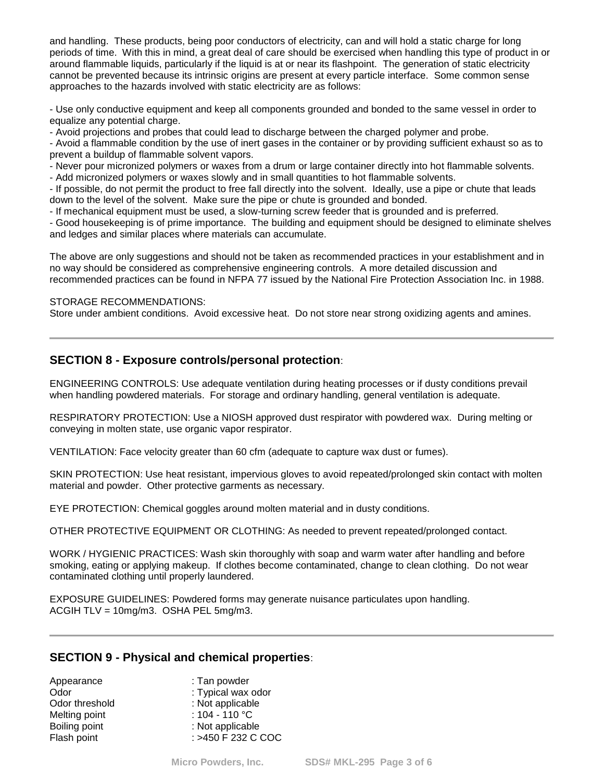and handling. These products, being poor conductors of electricity, can and will hold a static charge for long periods of time. With this in mind, a great deal of care should be exercised when handling this type of product in or around flammable liquids, particularly if the liquid is at or near its flashpoint. The generation of static electricity cannot be prevented because its intrinsic origins are present at every particle interface. Some common sense approaches to the hazards involved with static electricity are as follows:

- Use only conductive equipment and keep all components grounded and bonded to the same vessel in order to equalize any potential charge.

- Avoid projections and probes that could lead to discharge between the charged polymer and probe.

- Avoid a flammable condition by the use of inert gases in the container or by providing sufficient exhaust so as to prevent a buildup of flammable solvent vapors.

- Never pour micronized polymers or waxes from a drum or large container directly into hot flammable solvents.

- Add micronized polymers or waxes slowly and in small quantities to hot flammable solvents.

- If possible, do not permit the product to free fall directly into the solvent. Ideally, use a pipe or chute that leads down to the level of the solvent. Make sure the pipe or chute is grounded and bonded.

- If mechanical equipment must be used, a slow-turning screw feeder that is grounded and is preferred.

- Good housekeeping is of prime importance. The building and equipment should be designed to eliminate shelves and ledges and similar places where materials can accumulate.

The above are only suggestions and should not be taken as recommended practices in your establishment and in no way should be considered as comprehensive engineering controls. A more detailed discussion and recommended practices can be found in NFPA 77 issued by the National Fire Protection Association Inc. in 1988.

#### STORAGE RECOMMENDATIONS:

Store under ambient conditions. Avoid excessive heat. Do not store near strong oxidizing agents and amines.

# **SECTION 8 - Exposure controls/personal protection**:

ENGINEERING CONTROLS: Use adequate ventilation during heating processes or if dusty conditions prevail when handling powdered materials. For storage and ordinary handling, general ventilation is adequate.

RESPIRATORY PROTECTION: Use a NIOSH approved dust respirator with powdered wax. During melting or conveying in molten state, use organic vapor respirator.

VENTILATION: Face velocity greater than 60 cfm (adequate to capture wax dust or fumes).

SKIN PROTECTION: Use heat resistant, impervious gloves to avoid repeated/prolonged skin contact with molten material and powder. Other protective garments as necessary.

EYE PROTECTION: Chemical goggles around molten material and in dusty conditions.

OTHER PROTECTIVE EQUIPMENT OR CLOTHING: As needed to prevent repeated/prolonged contact.

WORK / HYGIENIC PRACTICES: Wash skin thoroughly with soap and warm water after handling and before smoking, eating or applying makeup. If clothes become contaminated, change to clean clothing. Do not wear contaminated clothing until properly laundered.

EXPOSURE GUIDELINES: Powdered forms may generate nuisance particulates upon handling. ACGIH TLV = 10mg/m3. OSHA PEL 5mg/m3.

#### **SECTION 9 - Physical and chemical properties**:

| Appearance     | : Tan powder       |
|----------------|--------------------|
| Odor           | : Typical wax odor |
| Odor threshold | : Not applicable   |
| Melting point  | : $104 - 110 °C$   |
| Boiling point  | : Not applicable   |
| Flash point    |                    |
|                | : >450 F 232 C COC |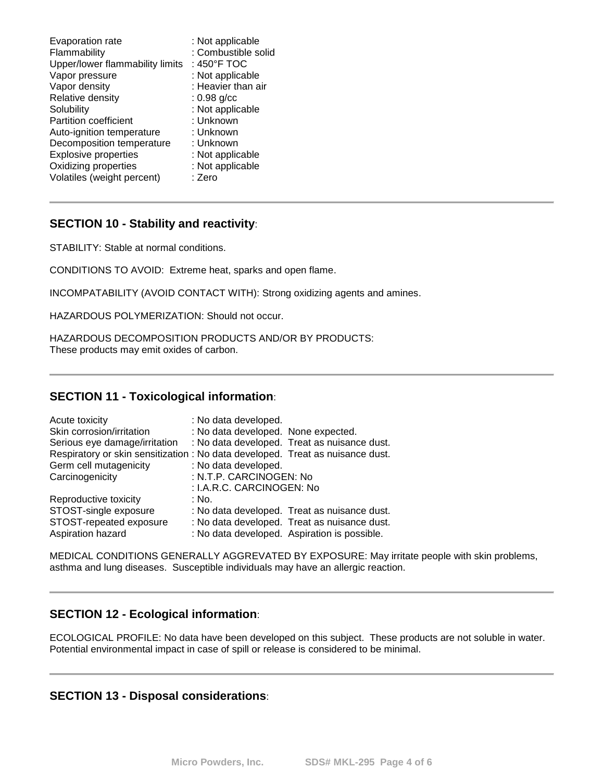| Flammability<br>Upper/lower flammability limits<br>Vapor pressure<br>Vapor density<br>Relative density<br>Solubility<br><b>Partition coefficient</b><br>Auto-ignition temperature<br>Decomposition temperature<br><b>Explosive properties</b><br>Oxidizing properties<br>Volatiles (weight percent) | : 450°F TOC<br>: Not applicable<br>: Heavier than air<br>$: 0.98$ g/cc<br>: Not applicable<br>: Unknown<br>: Unknown<br>: Unknown<br>: Not applicable<br>: Not applicable<br>: Zero |
|-----------------------------------------------------------------------------------------------------------------------------------------------------------------------------------------------------------------------------------------------------------------------------------------------------|-------------------------------------------------------------------------------------------------------------------------------------------------------------------------------------|
|-----------------------------------------------------------------------------------------------------------------------------------------------------------------------------------------------------------------------------------------------------------------------------------------------------|-------------------------------------------------------------------------------------------------------------------------------------------------------------------------------------|

# **SECTION 10 - Stability and reactivity**:

STABILITY: Stable at normal conditions.

CONDITIONS TO AVOID: Extreme heat, sparks and open flame.

INCOMPATABILITY (AVOID CONTACT WITH): Strong oxidizing agents and amines.

HAZARDOUS POLYMERIZATION: Should not occur.

HAZARDOUS DECOMPOSITION PRODUCTS AND/OR BY PRODUCTS: These products may emit oxides of carbon.

# **SECTION 11 - Toxicological information**:

| Acute toxicity                                                                 | : No data developed.                |                                              |
|--------------------------------------------------------------------------------|-------------------------------------|----------------------------------------------|
| Skin corrosion/irritation                                                      | : No data developed. None expected. |                                              |
| Serious eye damage/irritation                                                  |                                     | : No data developed. Treat as nuisance dust. |
| Respiratory or skin sensitization : No data developed. Treat as nuisance dust. |                                     |                                              |
| Germ cell mutagenicity                                                         | : No data developed.                |                                              |
| Carcinogenicity                                                                | : N.T.P. CARCINOGEN: No             |                                              |
|                                                                                | : I.A.R.C. CARCINOGEN: No           |                                              |
| Reproductive toxicity                                                          | : No.                               |                                              |
| STOST-single exposure                                                          |                                     | : No data developed. Treat as nuisance dust. |
| STOST-repeated exposure                                                        |                                     | : No data developed. Treat as nuisance dust. |
| Aspiration hazard                                                              |                                     | : No data developed. Aspiration is possible. |

MEDICAL CONDITIONS GENERALLY AGGREVATED BY EXPOSURE: May irritate people with skin problems, asthma and lung diseases. Susceptible individuals may have an allergic reaction.

# **SECTION 12 - Ecological information**:

ECOLOGICAL PROFILE: No data have been developed on this subject. These products are not soluble in water. Potential environmental impact in case of spill or release is considered to be minimal.

### **SECTION 13 - Disposal considerations**: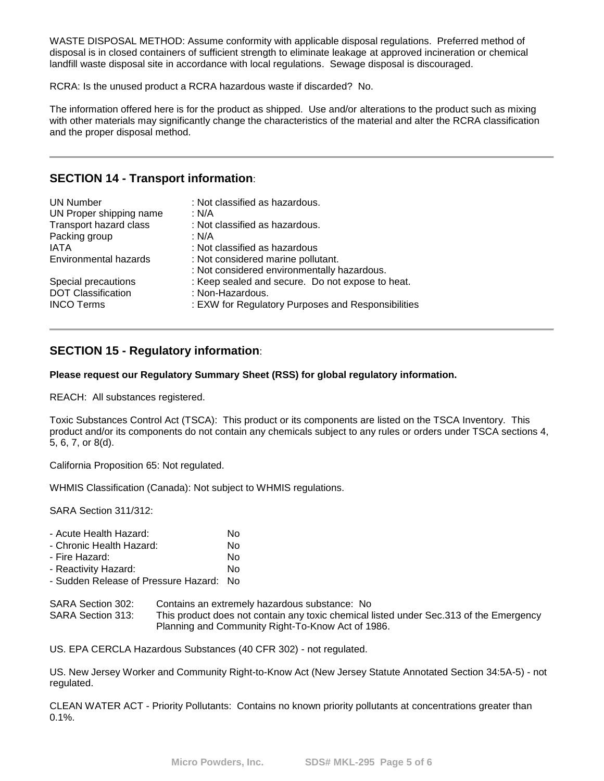WASTE DISPOSAL METHOD: Assume conformity with applicable disposal regulations. Preferred method of disposal is in closed containers of sufficient strength to eliminate leakage at approved incineration or chemical landfill waste disposal site in accordance with local regulations. Sewage disposal is discouraged.

RCRA: Is the unused product a RCRA hazardous waste if discarded? No.

The information offered here is for the product as shipped. Use and/or alterations to the product such as mixing with other materials may significantly change the characteristics of the material and alter the RCRA classification and the proper disposal method.

# **SECTION 14 - Transport information**:

| <b>UN Number</b><br>UN Proper shipping name<br>Transport hazard class<br>Packing group<br><b>IATA</b><br>Environmental hazards | : Not classified as hazardous.<br>: N/A<br>: Not classified as hazardous.<br>: N/A<br>: Not classified as hazardous<br>: Not considered marine pollutant.<br>: Not considered environmentally hazardous. |
|--------------------------------------------------------------------------------------------------------------------------------|----------------------------------------------------------------------------------------------------------------------------------------------------------------------------------------------------------|
| Special precautions                                                                                                            | : Keep sealed and secure. Do not expose to heat.                                                                                                                                                         |
| <b>DOT Classification</b>                                                                                                      | : Non-Hazardous.                                                                                                                                                                                         |
| <b>INCO Terms</b>                                                                                                              | : EXW for Regulatory Purposes and Responsibilities                                                                                                                                                       |

# **SECTION 15 - Regulatory information**:

#### **Please request our Regulatory Summary Sheet (RSS) for global regulatory information.**

REACH: All substances registered.

Toxic Substances Control Act (TSCA): This product or its components are listed on the TSCA Inventory. This product and/or its components do not contain any chemicals subject to any rules or orders under TSCA sections 4, 5, 6, 7, or 8(d).

California Proposition 65: Not regulated.

WHMIS Classification (Canada): Not subject to WHMIS regulations.

SARA Section 311/312:

- Chronic Health Hazard: No
- Fire Hazard: No

- Reactivity Hazard: No - Sudden Release of Pressure Hazard: No

SARA Section 302: Contains an extremely hazardous substance: No

SARA Section 313: This product does not contain any toxic chemical listed under Sec.313 of the Emergency Planning and Community Right-To-Know Act of 1986.

US. EPA CERCLA Hazardous Substances (40 CFR 302) - not regulated.

US. New Jersey Worker and Community Right-to-Know Act (New Jersey Statute Annotated Section 34:5A-5) - not regulated.

CLEAN WATER ACT - Priority Pollutants: Contains no known priority pollutants at concentrations greater than 0.1%.